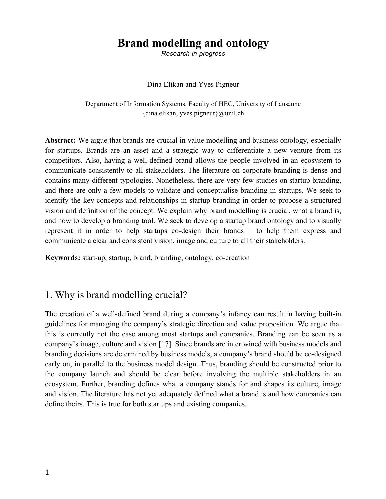# **Brand modelling and ontology**

*Research-in-progress*

#### Dina Elikan and Yves Pigneur

Department of Information Systems, Faculty of HEC, University of Lausanne {dina.elikan, yves.pigneur}@unil.ch

**Abstract:** We argue that brands are crucial in value modelling and business ontology, especially for startups. Brands are an asset and a strategic way to differentiate a new venture from its competitors. Also, having a well-defined brand allows the people involved in an ecosystem to communicate consistently to all stakeholders. The literature on corporate branding is dense and contains many different typologies. Nonetheless, there are very few studies on startup branding, and there are only a few models to validate and conceptualise branding in startups. We seek to identify the key concepts and relationships in startup branding in order to propose a structured vision and definition of the concept. We explain why brand modelling is crucial, what a brand is, and how to develop a branding tool. We seek to develop a startup brand ontology and to visually represent it in order to help startups co-design their brands – to help them express and communicate a clear and consistent vision, image and culture to all their stakeholders.

**Keywords:** start-up, startup, brand, branding, ontology, co-creation

### 1. Why is brand modelling crucial?

The creation of a well-defined brand during a company's infancy can result in having built-in guidelines for managing the company's strategic direction and value proposition. We argue that this is currently not the case among most startups and companies. Branding can be seen as a company's image, culture and vision [17]. Since brands are intertwined with business models and branding decisions are determined by business models, a company's brand should be co-designed early on, in parallel to the business model design. Thus, branding should be constructed prior to the company launch and should be clear before involving the multiple stakeholders in an ecosystem. Further, branding defines what a company stands for and shapes its culture, image and vision. The literature has not yet adequately defined what a brand is and how companies can define theirs. This is true for both startups and existing companies.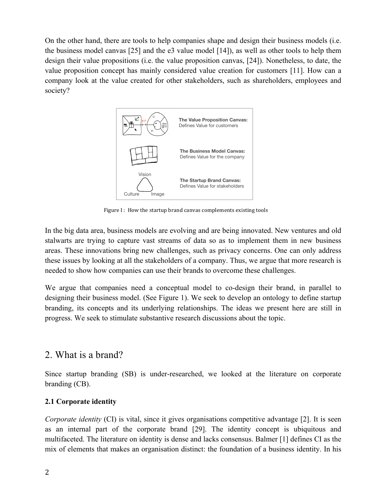On the other hand, there are tools to help companies shape and design their business models (i.e. the business model canvas [25] and the e3 value model [14]), as well as other tools to help them design their value propositions (i.e. the value proposition canvas, [24]). Nonetheless, to date, the value proposition concept has mainly considered value creation for customers [11]. How can a company look at the value created for other stakeholders, such as shareholders, employees and society?



Figure I: How the startup brand canvas complements existing tools

In the big data area, business models are evolving and are being innovated. New ventures and old stalwarts are trying to capture vast streams of data so as to implement them in new business areas. These innovations bring new challenges, such as privacy concerns. One can only address these issues by looking at all the stakeholders of a company. Thus, we argue that more research is needed to show how companies can use their brands to overcome these challenges.

We argue that companies need a conceptual model to co-design their brand, in parallel to designing their business model. (See Figure 1). We seek to develop an ontology to define startup branding, its concepts and its underlying relationships. The ideas we present here are still in progress. We seek to stimulate substantive research discussions about the topic.

### 2. What is a brand?

Since startup branding (SB) is under-researched, we looked at the literature on corporate branding (CB).

#### **2.1 Corporate identity**

*Corporate identity* (CI) is vital, since it gives organisations competitive advantage [2]. It is seen as an internal part of the corporate brand [29]. The identity concept is ubiquitous and multifaceted. The literature on identity is dense and lacks consensus. Balmer [1] defines CI as the mix of elements that makes an organisation distinct: the foundation of a business identity. In his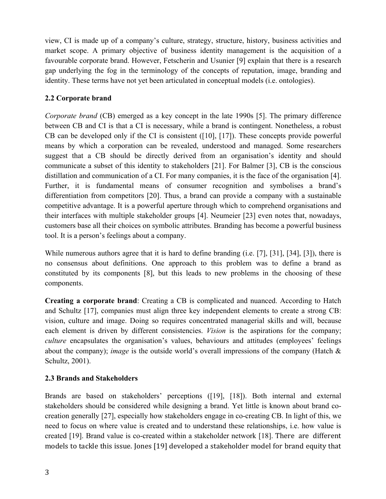view, CI is made up of a company's culture, strategy, structure, history, business activities and market scope. A primary objective of business identity management is the acquisition of a favourable corporate brand. However, Fetscherin and Usunier [9] explain that there is a research gap underlying the fog in the terminology of the concepts of reputation, image, branding and identity. These terms have not yet been articulated in conceptual models (i.e. ontologies).

#### **2.2 Corporate brand**

*Corporate brand* (CB) emerged as a key concept in the late 1990s [5]. The primary difference between CB and CI is that a CI is necessary, while a brand is contingent. Nonetheless, a robust CB can be developed only if the CI is consistent ([10], [17]). These concepts provide powerful means by which a corporation can be revealed, understood and managed. Some researchers suggest that a CB should be directly derived from an organisation's identity and should communicate a subset of this identity to stakeholders [21]. For Balmer [3], CB is the conscious distillation and communication of a CI. For many companies, it is the face of the organisation [4]. Further, it is fundamental means of consumer recognition and symbolises a brand's differentiation from competitors [20]. Thus, a brand can provide a company with a sustainable competitive advantage. It is a powerful aperture through which to comprehend organisations and their interfaces with multiple stakeholder groups [4]. Neumeier [23] even notes that, nowadays, customers base all their choices on symbolic attributes. Branding has become a powerful business tool. It is a person's feelings about a company.

While numerous authors agree that it is hard to define branding (i.e. [7], [31], [34], [3]), there is no consensus about definitions. One approach to this problem was to define a brand as constituted by its components [8], but this leads to new problems in the choosing of these components.

**Creating a corporate brand**: Creating a CB is complicated and nuanced. According to Hatch and Schultz [17], companies must align three key independent elements to create a strong CB: vision, culture and image. Doing so requires concentrated managerial skills and will, because each element is driven by different consistencies. *Vision* is the aspirations for the company; *culture* encapsulates the organisation's values, behaviours and attitudes (employees' feelings about the company); *image* is the outside world's overall impressions of the company (Hatch & Schultz, 2001).

#### **2.3 Brands and Stakeholders**

Brands are based on stakeholders' perceptions ([19], [18]). Both internal and external stakeholders should be considered while designing a brand. Yet little is known about brand cocreation generally [27], especially how stakeholders engage in co-creating CB. In light of this, we need to focus on where value is created and to understand these relationships, i.e. how value is created [19]. Brand value is co-created within a stakeholder network [18]. There are different models to tackle this issue. Jones [19] developed a stakeholder model for brand equity that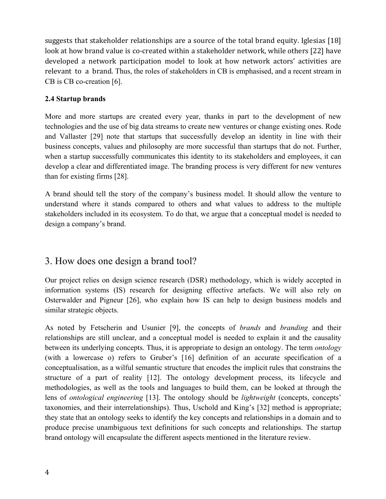suggests that stakeholder relationships are a source of the total brand equity. Iglesias  $[18]$ look at how brand value is co-created within a stakeholder network, while others [22] have developed a network participation model to look at how network actors' activities are relevant to a brand. Thus, the roles of stakeholders in CB is emphasised, and a recent stream in CB is CB co-creation [6].

#### **2.4 Startup brands**

More and more startups are created every year, thanks in part to the development of new technologies and the use of big data streams to create new ventures or change existing ones. Rode and Vallaster [29] note that startups that successfully develop an identity in line with their business concepts, values and philosophy are more successful than startups that do not. Further, when a startup successfully communicates this identity to its stakeholders and employees, it can develop a clear and differentiated image. The branding process is very different for new ventures than for existing firms [28].

A brand should tell the story of the company's business model. It should allow the venture to understand where it stands compared to others and what values to address to the multiple stakeholders included in its ecosystem. To do that, we argue that a conceptual model is needed to design a company's brand.

# 3. How does one design a brand tool?

Our project relies on design science research (DSR) methodology, which is widely accepted in information systems (IS) research for designing effective artefacts. We will also rely on Osterwalder and Pigneur [26], who explain how IS can help to design business models and similar strategic objects.

As noted by Fetscherin and Usunier [9], the concepts of *brands* and *branding* and their relationships are still unclear, and a conceptual model is needed to explain it and the causality between its underlying concepts. Thus, it is appropriate to design an ontology. The term *ontology* (with a lowercase o) refers to Gruber's [16] definition of an accurate specification of a conceptualisation, as a wilful semantic structure that encodes the implicit rules that constrains the structure of a part of reality [12]. The ontology development process, its lifecycle and methodologies, as well as the tools and languages to build them, can be looked at through the lens of *ontological engineering* [13]. The ontology should be *lightweight* (concepts, concepts' taxonomies, and their interrelationships). Thus, Uschold and King's [32] method is appropriate; they state that an ontology seeks to identify the key concepts and relationships in a domain and to produce precise unambiguous text definitions for such concepts and relationships. The startup brand ontology will encapsulate the different aspects mentioned in the literature review.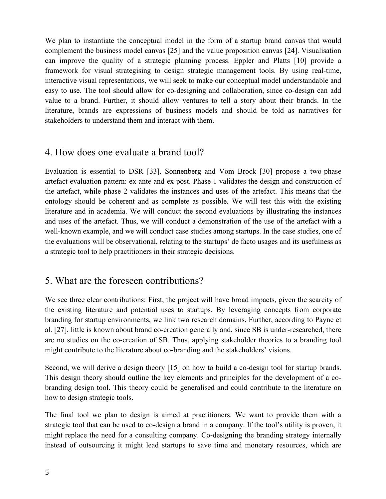We plan to instantiate the conceptual model in the form of a startup brand canvas that would complement the business model canvas [25] and the value proposition canvas [24]. Visualisation can improve the quality of a strategic planning process. Eppler and Platts [10] provide a framework for visual strategising to design strategic management tools. By using real-time, interactive visual representations, we will seek to make our conceptual model understandable and easy to use. The tool should allow for co-designing and collaboration, since co-design can add value to a brand. Further, it should allow ventures to tell a story about their brands. In the literature, brands are expressions of business models and should be told as narratives for stakeholders to understand them and interact with them.

# 4. How does one evaluate a brand tool?

Evaluation is essential to DSR [33]. Sonnenberg and Vom Brock [30] propose a two-phase artefact evaluation pattern: ex ante and ex post. Phase 1 validates the design and construction of the artefact, while phase 2 validates the instances and uses of the artefact. This means that the ontology should be coherent and as complete as possible. We will test this with the existing literature and in academia. We will conduct the second evaluations by illustrating the instances and uses of the artefact. Thus, we will conduct a demonstration of the use of the artefact with a well-known example, and we will conduct case studies among startups. In the case studies, one of the evaluations will be observational, relating to the startups' de facto usages and its usefulness as a strategic tool to help practitioners in their strategic decisions.

# 5. What are the foreseen contributions?

We see three clear contributions: First, the project will have broad impacts, given the scarcity of the existing literature and potential uses to startups. By leveraging concepts from corporate branding for startup environments, we link two research domains. Further, according to Payne et al. [27], little is known about brand co-creation generally and, since SB is under-researched, there are no studies on the co-creation of SB. Thus, applying stakeholder theories to a branding tool might contribute to the literature about co-branding and the stakeholders' visions.

Second, we will derive a design theory [15] on how to build a co-design tool for startup brands. This design theory should outline the key elements and principles for the development of a cobranding design tool. This theory could be generalised and could contribute to the literature on how to design strategic tools.

The final tool we plan to design is aimed at practitioners. We want to provide them with a strategic tool that can be used to co-design a brand in a company. If the tool's utility is proven, it might replace the need for a consulting company. Co-designing the branding strategy internally instead of outsourcing it might lead startups to save time and monetary resources, which are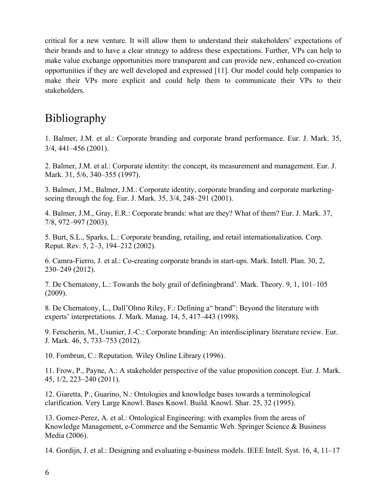critical for a new venture. It will allow them to understand their stakeholders' expectations of their brands and to have a clear strategy to address these expectations. Further, VPs can help to make value exchange opportunities more transparent and can provide new, enhanced co-creation opportunities if they are well developed and expressed [11]. Our model could help companies to make their VPs more explicit and could help them to communicate their VPs to their stakeholders.

# Bibliography

1. Balmer, J.M. et al.: Corporate branding and corporate brand performance. Eur. J. Mark. 35, 3/4, 441–456 (2001).

2. Balmer, J.M. et al.: Corporate identity: the concept, its measurement and management. Eur. J. Mark. 31, 5/6, 340–355 (1997).

3. Balmer, J.M., Balmer, J.M.: Corporate identity, corporate branding and corporate marketingseeing through the fog. Eur. J. Mark. 35, 3/4, 248–291 (2001).

4. Balmer, J.M., Gray, E.R.: Corporate brands: what are they? What of them? Eur. J. Mark. 37, 7/8, 972–997 (2003).

5. Burt, S.L., Sparks, L.: Corporate branding, retailing, and retail internationalization. Corp. Reput. Rev. 5, 2–3, 194–212 (2002).

6. Camra-Fierro, J. et al.: Co-creating corporate brands in start-ups. Mark. Intell. Plan. 30, 2, 230–249 (2012).

7. De Chernatony, L.: Towards the holy grail of definingbrand'. Mark. Theory. 9, 1, 101–105 (2009).

8. De Chernatony, L., Dall'Olmo Riley, F.: Defining a" brand": Beyond the literature with experts' interpretations. J. Mark. Manag. 14, 5, 417–443 (1998).

9. Fetscherin, M., Usunier, J.-C.: Corporate branding: An interdisciplinary literature review. Eur. J. Mark. 46, 5, 733–753 (2012).

10. Fombrun, C.: Reputation. Wiley Online Library (1996).

11. Frow, P., Payne, A.: A stakeholder perspective of the value proposition concept. Eur. J. Mark. 45, 1/2, 223–240 (2011).

12. Giaretta, P., Guarino, N.: Ontologies and knowledge bases towards a terminological clarification. Very Large Knowl. Bases Knowl. Build. Knowl. Shar. 25, 32 (1995).

13. Gomez-Perez, A. et al.: Ontological Engineering: with examples from the areas of Knowledge Management, e-Commerce and the Semantic Web. Springer Science & Business Media (2006).

14. Gordijn, J. et al.: Designing and evaluating e-business models. IEEE Intell. Syst. 16, 4, 11–17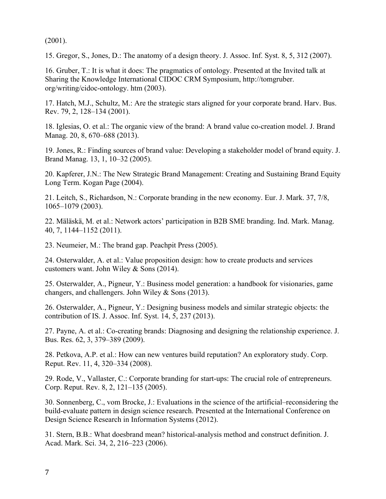(2001).

15. Gregor, S., Jones, D.: The anatomy of a design theory. J. Assoc. Inf. Syst. 8, 5, 312 (2007).

16. Gruber, T.: It is what it does: The pragmatics of ontology. Presented at the Invited talk at Sharing the Knowledge International CIDOC CRM Symposium, http://tomgruber. org/writing/cidoc-ontology. htm (2003).

17. Hatch, M.J., Schultz, M.: Are the strategic stars aligned for your corporate brand. Harv. Bus. Rev. 79, 2, 128–134 (2001).

18. Iglesias, O. et al.: The organic view of the brand: A brand value co-creation model. J. Brand Manag. 20, 8, 670–688 (2013).

19. Jones, R.: Finding sources of brand value: Developing a stakeholder model of brand equity. J. Brand Manag. 13, 1, 10–32 (2005).

20. Kapferer, J.N.: The New Strategic Brand Management: Creating and Sustaining Brand Equity Long Term. Kogan Page (2004).

21. Leitch, S., Richardson, N.: Corporate branding in the new economy. Eur. J. Mark. 37, 7/8, 1065–1079 (2003).

22. Mäläskä, M. et al.: Network actors' participation in B2B SME branding. Ind. Mark. Manag. 40, 7, 1144–1152 (2011).

23. Neumeier, M.: The brand gap. Peachpit Press (2005).

24. Osterwalder, A. et al.: Value proposition design: how to create products and services customers want. John Wiley & Sons (2014).

25. Osterwalder, A., Pigneur, Y.: Business model generation: a handbook for visionaries, game changers, and challengers. John Wiley & Sons (2013).

26. Osterwalder, A., Pigneur, Y.: Designing business models and similar strategic objects: the contribution of IS. J. Assoc. Inf. Syst. 14, 5, 237 (2013).

27. Payne, A. et al.: Co-creating brands: Diagnosing and designing the relationship experience. J. Bus. Res. 62, 3, 379–389 (2009).

28. Petkova, A.P. et al.: How can new ventures build reputation? An exploratory study. Corp. Reput. Rev. 11, 4, 320–334 (2008).

29. Rode, V., Vallaster, C.: Corporate branding for start-ups: The crucial role of entrepreneurs. Corp. Reput. Rev. 8, 2, 121–135 (2005).

30. Sonnenberg, C., vom Brocke, J.: Evaluations in the science of the artificial–reconsidering the build-evaluate pattern in design science research. Presented at the International Conference on Design Science Research in Information Systems (2012).

31. Stern, B.B.: What doesbrand mean? historical-analysis method and construct definition. J. Acad. Mark. Sci. 34, 2, 216–223 (2006).